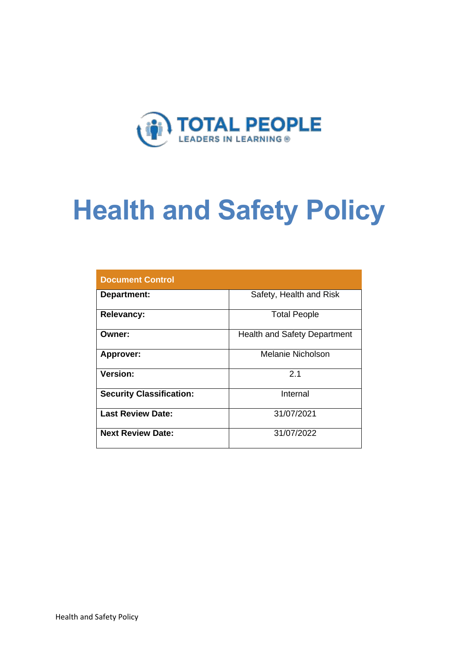

# **Health and Safety Policy**

| <b>Document Control</b>         |                                     |  |  |  |
|---------------------------------|-------------------------------------|--|--|--|
| Department:                     | Safety, Health and Risk             |  |  |  |
| <b>Relevancy:</b>               | <b>Total People</b>                 |  |  |  |
| Owner:                          | <b>Health and Safety Department</b> |  |  |  |
| Approver:                       | Melanie Nicholson                   |  |  |  |
| Version:                        | 2.1                                 |  |  |  |
| <b>Security Classification:</b> | Internal                            |  |  |  |
| <b>Last Review Date:</b>        | 31/07/2021                          |  |  |  |
| <b>Next Review Date:</b>        | 31/07/2022                          |  |  |  |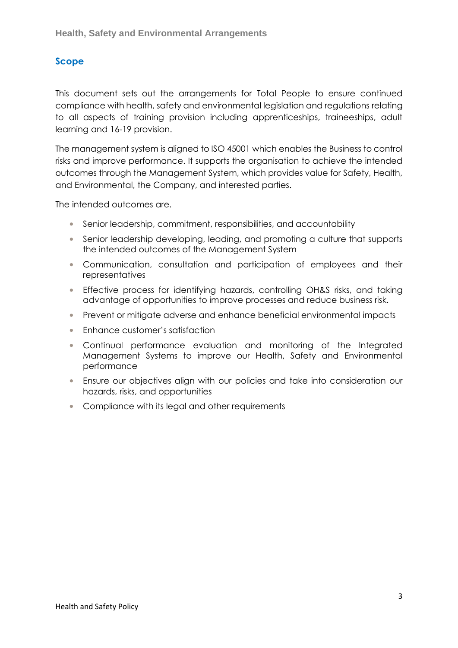### **Scope**

This document sets out the arrangements for Total People to ensure continued compliance with health, safety and environmental legislation and regulations relating to all aspects of training provision including apprenticeships, traineeships, adult learning and 16-19 provision.

The management system is aligned to ISO 45001 which enables the Business to control risks and improve performance. It supports the organisation to achieve the intended outcomes through the Management System, which provides value for Safety, Health, and Environmental, the Company, and interested parties.

The intended outcomes are.

- Senior leadership, commitment, responsibilities, and accountability
- Senior leadership developing, leading, and promoting a culture that supports the intended outcomes of the Management System
- Communication, consultation and participation of employees and their representatives
- Effective process for identifying hazards, controlling OH&S risks, and taking advantage of opportunities to improve processes and reduce business risk.
- Prevent or mitigate adverse and enhance beneficial environmental impacts
- Enhance customer's satisfaction
- Continual performance evaluation and monitoring of the Integrated Management Systems to improve our Health, Safety and Environmental performance
- Ensure our objectives align with our policies and take into consideration our hazards, risks, and opportunities
- Compliance with its legal and other requirements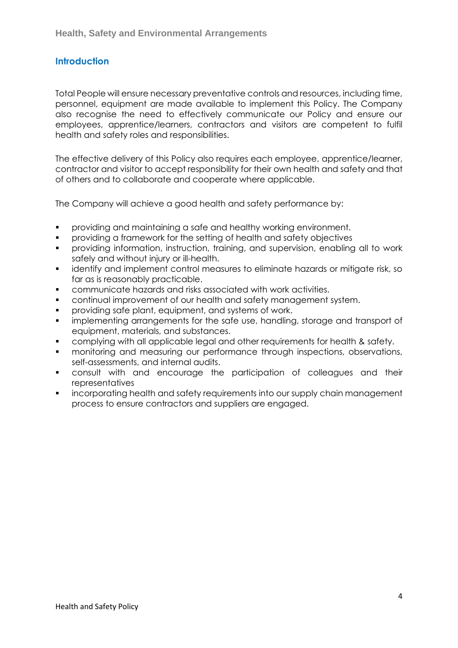#### **Introduction**

Total People will ensure necessary preventative controls and resources, including time, personnel, equipment are made available to implement this Policy. The Company also recognise the need to effectively communicate our Policy and ensure our employees, apprentice/learners, contractors and visitors are competent to fulfil health and safety roles and responsibilities.

The effective delivery of this Policy also requires each employee, apprentice/learner, contractor and visitor to accept responsibility for their own health and safety and that of others and to collaborate and cooperate where applicable.

The Company will achieve a good health and safety performance by:

- providing and maintaining a safe and healthy working environment.
- providing a framework for the setting of health and safety objectives
- providing information, instruction, training, and supervision, enabling all to work safely and without injury or ill-health.
- identify and implement control measures to eliminate hazards or mitigate risk, so far as is reasonably practicable.
- communicate hazards and risks associated with work activities.
- continual improvement of our health and safety management system.
- **•** providing safe plant, equipment, and systems of work.
- **•** implementing arrangements for the safe use, handling, storage and transport of equipment, materials, and substances.
- complying with all applicable legal and other requirements for health & safety.
- monitoring and measuring our performance through inspections, observations, self-assessments, and internal audits.
- consult with and encourage the participation of colleagues and their representatives
- incorporating health and safety requirements into our supply chain management process to ensure contractors and suppliers are engaged.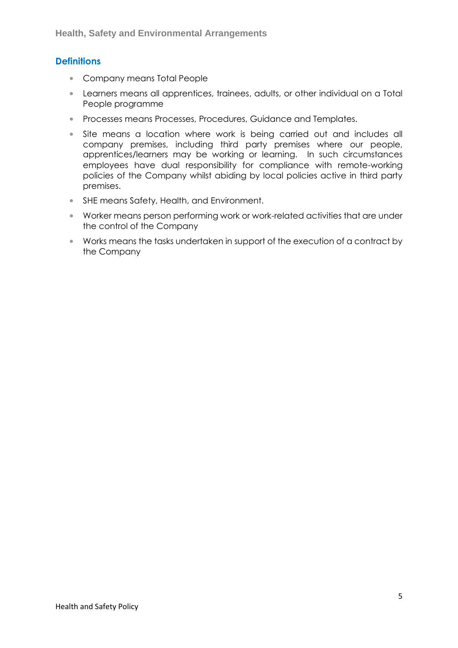#### **Definitions**

- Company means Total People
- Learners means all apprentices, trainees, adults, or other individual on a Total People programme
- Processes means Processes, Procedures, Guidance and Templates.
- Site means a location where work is being carried out and includes all company premises, including third party premises where our people, apprentices/learners may be working or learning. In such circumstances employees have dual responsibility for compliance with remote-working policies of the Company whilst abiding by local policies active in third party premises.
- SHE means Safety, Health, and Environment.
- Worker means person performing work or work-related activities that are under the control of the Company
- Works means the tasks undertaken in support of the execution of a contract by the Company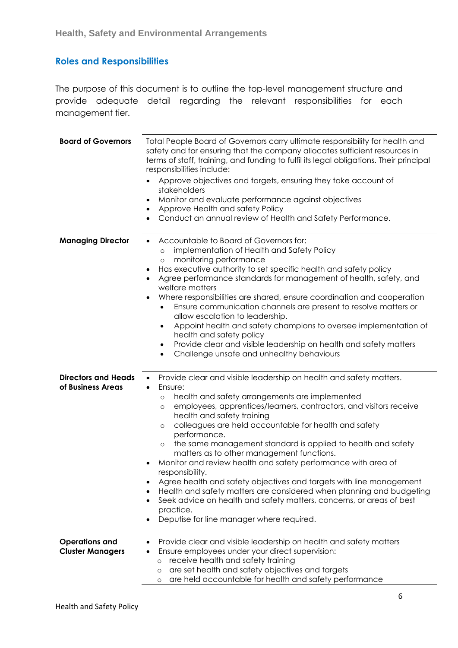## **Roles and Responsibilities**

The purpose of this document is to outline the top-level management structure and provide adequate detail regarding the relevant responsibilities for each management tier.

| <b>Board of Governors</b>                        | Total People Board of Governors carry ultimate responsibility for health and<br>safety and for ensuring that the company allocates sufficient resources in<br>terms of staff, training, and funding to fulfil its legal obligations. Their principal<br>responsibilities include:<br>Approve objectives and targets, ensuring they take account of<br>stakeholders<br>Monitor and evaluate performance against objectives<br>Approve Health and safety Policy<br>Conduct an annual review of Health and Safety Performance.                                                                                                                                                                                                                                                                                                                |  |  |
|--------------------------------------------------|--------------------------------------------------------------------------------------------------------------------------------------------------------------------------------------------------------------------------------------------------------------------------------------------------------------------------------------------------------------------------------------------------------------------------------------------------------------------------------------------------------------------------------------------------------------------------------------------------------------------------------------------------------------------------------------------------------------------------------------------------------------------------------------------------------------------------------------------|--|--|
| <b>Managing Director</b>                         | Accountable to Board of Governors for:<br>implementation of Health and Safety Policy<br>$\circ$<br>monitoring performance<br>$\circ$<br>Has executive authority to set specific health and safety policy<br>Agree performance standards for management of health, safety, and<br>welfare matters<br>Where responsibilities are shared, ensure coordination and cooperation<br>Ensure communication channels are present to resolve matters or<br>$\bullet$<br>allow escalation to leadership.<br>Appoint health and safety champions to oversee implementation of<br>$\bullet$<br>health and safety policy<br>Provide clear and visible leadership on health and safety matters<br>$\bullet$<br>Challenge unsafe and unhealthy behaviours<br>$\bullet$                                                                                     |  |  |
| <b>Directors and Heads</b><br>of Business Areas  | Provide clear and visible leadership on health and safety matters.<br>Ensure:<br>health and safety arrangements are implemented<br>$\circ$<br>employees, apprentices/learners, contractors, and visitors receive<br>$\circ$<br>health and safety training<br>colleagues are held accountable for health and safety<br>$\circ$<br>performance.<br>the same management standard is applied to health and safety<br>$\circ$<br>matters as to other management functions.<br>Monitor and review health and safety performance with area of<br>responsibility.<br>Agree health and safety objectives and targets with line management<br>Health and safety matters are considered when planning and budgeting<br>Seek advice on health and safety matters, concerns, or areas of best<br>practice.<br>Deputise for line manager where required. |  |  |
| <b>Operations and</b><br><b>Cluster Managers</b> | Provide clear and visible leadership on health and safety matters<br>Ensure employees under your direct supervision:<br>receive health and safety training<br>$\circ$<br>are set health and safety objectives and targets<br>$\circ$<br>are held accountable for health and safety performance<br>$\circ$                                                                                                                                                                                                                                                                                                                                                                                                                                                                                                                                  |  |  |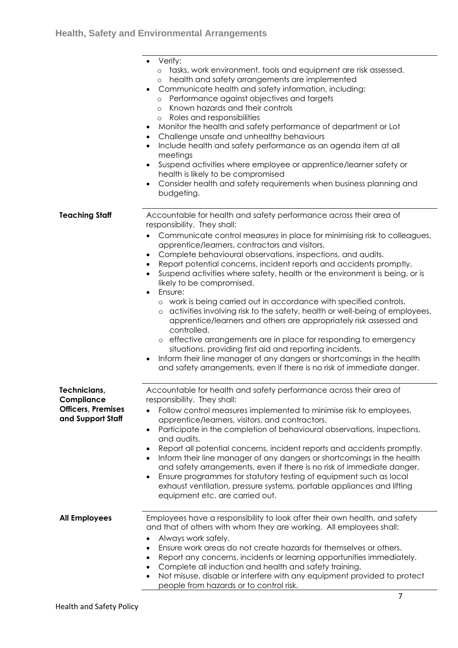|                                                                              | Verify:<br>o tasks, work environment, tools and equipment are risk assessed.<br>health and safety arrangements are implemented<br>$\circ$<br>Communicate health and safety information, including:<br>Performance against objectives and targets<br>$\circ$<br>Known hazards and their controls<br>$\circ$<br>Roles and responsibilities<br>$\circ$<br>Monitor the health and safety performance of department or Lot<br>Challenge unsafe and unhealthy behaviours<br>$\bullet$<br>Include health and safety performance as an agenda item at all<br>meetings<br>Suspend activities where employee or apprentice/learner safety or<br>health is likely to be compromised<br>Consider health and safety requirements when business planning and<br>budgeting.                                                                                                                                                                                                                                                                                           |
|------------------------------------------------------------------------------|--------------------------------------------------------------------------------------------------------------------------------------------------------------------------------------------------------------------------------------------------------------------------------------------------------------------------------------------------------------------------------------------------------------------------------------------------------------------------------------------------------------------------------------------------------------------------------------------------------------------------------------------------------------------------------------------------------------------------------------------------------------------------------------------------------------------------------------------------------------------------------------------------------------------------------------------------------------------------------------------------------------------------------------------------------|
| <b>Teaching Staff</b>                                                        | Accountable for health and safety performance across their area of<br>responsibility. They shall:<br>Communicate control measures in place for minimising risk to colleagues,<br>apprentice/learners, contractors and visitors.<br>Complete behavioural observations, inspections, and audits.<br>Report potential concerns, incident reports and accidents promptly.<br>$\bullet$<br>Suspend activities where safety, health or the environment is being, or is<br>likely to be compromised.<br>Ensure:<br>$\bullet$<br>o work is being carried out in accordance with specified controls.<br>o activities involving risk to the safety, health or well-being of employees,<br>apprentice/learners and others are appropriately risk assessed and<br>controlled.<br>o effective arrangements are in place for responding to emergency<br>situations, providing first aid and reporting incidents.<br>Inform their line manager of any dangers or shortcomings in the health<br>and safety arrangements, even if there is no risk of immediate danger. |
| Technicians,<br>Compliance<br><b>Officers, Premises</b><br>and Support Staff | Accountable for health and safety performance across their area of<br>responsibility. They shall:<br>Follow control measures implemented to minimise risk to employees,<br>apprentice/learners, visitors, and contractors.<br>Participate in the completion of behavioural observations, inspections,<br>$\bullet$<br>and audits.<br>Report all potential concerns, incident reports and accidents promptly.<br>Inform their line manager of any dangers or shortcomings in the health<br>and safety arrangements, even if there is no risk of immediate danger.<br>Ensure programmes for statutory testing of equipment such as local<br>$\bullet$<br>exhaust ventilation, pressure systems, portable appliances and lifting<br>equipment etc. are carried out.                                                                                                                                                                                                                                                                                       |
| <b>All Employees</b>                                                         | Employees have a responsibility to look after their own health, and safety<br>and that of others with whom they are working. All employees shall:<br>Always work safely.<br>Ensure work areas do not create hazards for themselves or others.<br>Report any concerns, incidents or learning opportunities immediately.<br>$\bullet$<br>Complete all induction and health and safety training.<br>$\bullet$<br>Not misuse, disable or interfere with any equipment provided to protect<br>people from hazards or to control risk.                                                                                                                                                                                                                                                                                                                                                                                                                                                                                                                       |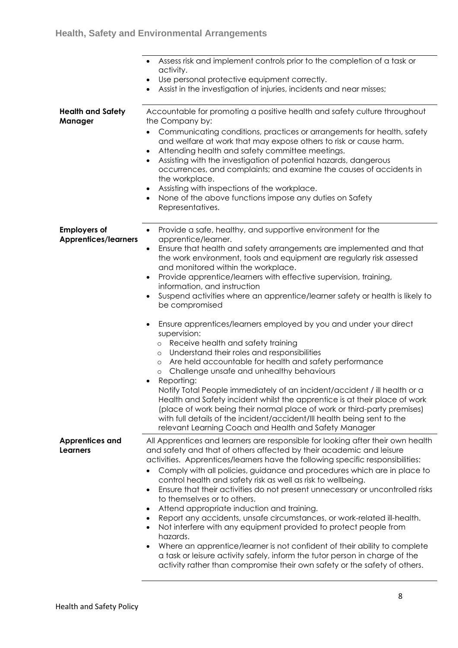| <b>Health and Safety</b>                           | Assess risk and implement controls prior to the completion of a task or<br>activity.<br>Use personal protective equipment correctly.<br>Assist in the investigation of injuries, incidents and near misses;<br>Accountable for promoting a positive health and safety culture throughout                                                                                                                                                                                                                                                                                                                                                                                                                                                                                                                                                                                                                                                                                                                                                                                                                                                                                                                                                           |
|----------------------------------------------------|----------------------------------------------------------------------------------------------------------------------------------------------------------------------------------------------------------------------------------------------------------------------------------------------------------------------------------------------------------------------------------------------------------------------------------------------------------------------------------------------------------------------------------------------------------------------------------------------------------------------------------------------------------------------------------------------------------------------------------------------------------------------------------------------------------------------------------------------------------------------------------------------------------------------------------------------------------------------------------------------------------------------------------------------------------------------------------------------------------------------------------------------------------------------------------------------------------------------------------------------------|
| Manager                                            | the Company by:<br>Communicating conditions, practices or arrangements for health, safety<br>$\bullet$<br>and welfare at work that may expose others to risk or cause harm.<br>Attending health and safety committee meetings.<br>Assisting with the investigation of potential hazards, dangerous<br>$\bullet$<br>occurrences, and complaints; and examine the causes of accidents in<br>the workplace.<br>Assisting with inspections of the workplace.<br>None of the above functions impose any duties on Safety<br>Representatives.                                                                                                                                                                                                                                                                                                                                                                                                                                                                                                                                                                                                                                                                                                            |
| <b>Employers of</b><br><b>Apprentices/learners</b> | Provide a safe, healthy, and supportive environment for the<br>$\bullet$<br>apprentice/learner.<br>Ensure that health and safety arrangements are implemented and that<br>$\bullet$<br>the work environment, tools and equipment are regularly risk assessed<br>and monitored within the workplace.<br>Provide apprentice/learners with effective supervision, training,<br>$\bullet$<br>information, and instruction<br>Suspend activities where an apprentice/learner safety or health is likely to<br>be compromised<br>Ensure apprentices/learners employed by you and under your direct<br>supervision:<br>Receive health and safety training<br>$\circ$<br>Understand their roles and responsibilities<br>$\circ$<br>Are held accountable for health and safety performance<br>$\circ$<br>Challenge unsafe and unhealthy behaviours<br>$\circ$<br>Reporting:<br>٠<br>Notify Total People immediately of an incident/accident / ill health or a<br>Health and Safety incident whilst the apprentice is at their place of work<br>(place of work being their normal place of work or third-party premises)<br>with full details of the incident/accident/III health being sent to the<br>relevant Learning Coach and Health and Safety Manager |
| <b>Apprentices and</b><br><b>Learners</b>          | All Apprentices and learners are responsible for looking after their own health<br>and safety and that of others affected by their academic and leisure<br>activities. Apprentices/learners have the following specific responsibilities:<br>Comply with all policies, guidance and procedures which are in place to<br>control health and safety risk as well as risk to wellbeing.<br>Ensure that their activities do not present unnecessary or uncontrolled risks<br>to themselves or to others.<br>Attend appropriate induction and training.<br>Report any accidents, unsafe circumstances, or work-related ill-health.<br>Not interfere with any equipment provided to protect people from<br>hazards.<br>Where an apprentice/learner is not confident of their ability to complete<br>a task or leisure activity safely, inform the tutor person in charge of the<br>activity rather than compromise their own safety or the safety of others.                                                                                                                                                                                                                                                                                             |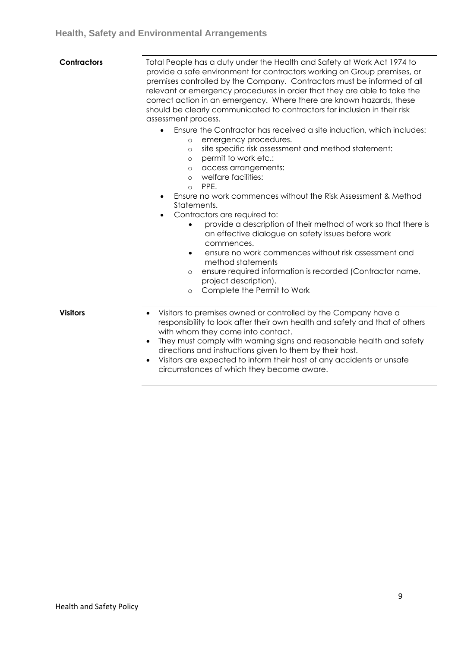| <b>Contractors</b> | Total People has a duty under the Health and Safety at Work Act 1974 to<br>provide a safe environment for contractors working on Group premises, or<br>premises controlled by the Company. Contractors must be informed of all<br>relevant or emergency procedures in order that they are able to take the<br>correct action in an emergency. Where there are known hazards, these<br>should be clearly communicated to contractors for inclusion in their risk<br>assessment process.<br>Ensure the Contractor has received a site induction, which includes: |  |  |  |
|--------------------|----------------------------------------------------------------------------------------------------------------------------------------------------------------------------------------------------------------------------------------------------------------------------------------------------------------------------------------------------------------------------------------------------------------------------------------------------------------------------------------------------------------------------------------------------------------|--|--|--|
|                    | emergency procedures.<br>$\circ$<br>site specific risk assessment and method statement:<br>$\circ$<br>permit to work etc.:<br>$\circ$<br>access arrangements:<br>$\circ$<br>welfare facilities:<br>$\circ$<br>PPF.<br>$\Omega$                                                                                                                                                                                                                                                                                                                                 |  |  |  |
|                    | Ensure no work commences without the Risk Assessment & Method<br>٠<br>Statements.<br>Contractors are required to:<br>$\bullet$<br>provide a description of their method of work so that there is<br>$\bullet$<br>an effective dialogue on safety issues before work<br>commences.<br>ensure no work commences without risk assessment and<br>$\bullet$<br>method statements<br>ensure required information is recorded (Contractor name,<br>$\circ$<br>project description).<br>Complete the Permit to Work<br>$\Omega$                                        |  |  |  |
| <b>Visitors</b>    | Visitors to premises owned or controlled by the Company have a<br>responsibility to look after their own health and safety and that of others<br>with whom they come into contact.<br>They must comply with warning signs and reasonable health and safety<br>directions and instructions given to them by their host.<br>Visitors are expected to inform their host of any accidents or unsafe<br>circumstances of which they become aware.                                                                                                                   |  |  |  |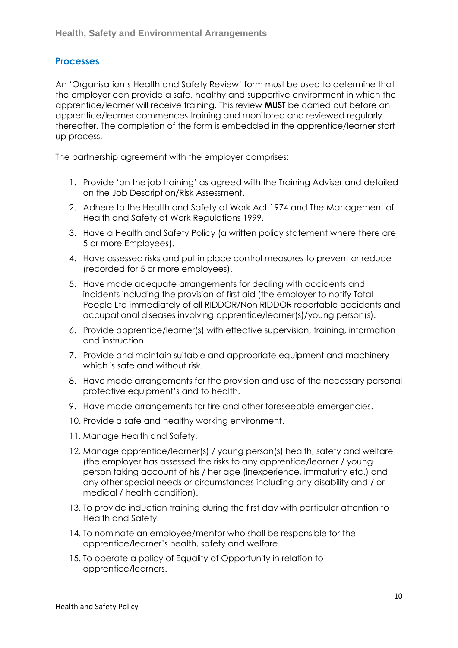#### **Processes**

An 'Organisation's Health and Safety Review' form must be used to determine that the employer can provide a safe, healthy and supportive environment in which the apprentice/learner will receive training. This review **MUST** be carried out before an apprentice/learner commences training and monitored and reviewed regularly thereafter. The completion of the form is embedded in the apprentice/learner start up process.

The partnership agreement with the employer comprises:

- 1. Provide 'on the job training' as agreed with the Training Adviser and detailed on the Job Description/Risk Assessment.
- 2. Adhere to the Health and Safety at Work Act 1974 and The Management of Health and Safety at Work Regulations 1999.
- 3. Have a Health and Safety Policy (a written policy statement where there are 5 or more Employees).
- 4. Have assessed risks and put in place control measures to prevent or reduce (recorded for 5 or more employees).
- 5. Have made adequate arrangements for dealing with accidents and incidents including the provision of first aid (the employer to notify Total People Ltd immediately of all RIDDOR/Non RIDDOR reportable accidents and occupational diseases involving apprentice/learner(s)/young person(s).
- 6. Provide apprentice/learner(s) with effective supervision, training, information and instruction.
- 7. Provide and maintain suitable and appropriate equipment and machinery which is safe and without risk.
- 8. Have made arrangements for the provision and use of the necessary personal protective equipment's and to health.
- 9. Have made arrangements for fire and other foreseeable emergencies.
- 10. Provide a safe and healthy working environment.
- 11. Manage Health and Safety.
- 12. Manage apprentice/learner(s) / young person(s) health, safety and welfare (the employer has assessed the risks to any apprentice/learner / young person taking account of his / her age (inexperience, immaturity etc.) and any other special needs or circumstances including any disability and / or medical / health condition).
- 13. To provide induction training during the first day with particular attention to Health and Safety.
- 14. To nominate an employee/mentor who shall be responsible for the apprentice/learner's health, safety and welfare.
- 15. To operate a policy of Equality of Opportunity in relation to apprentice/learners.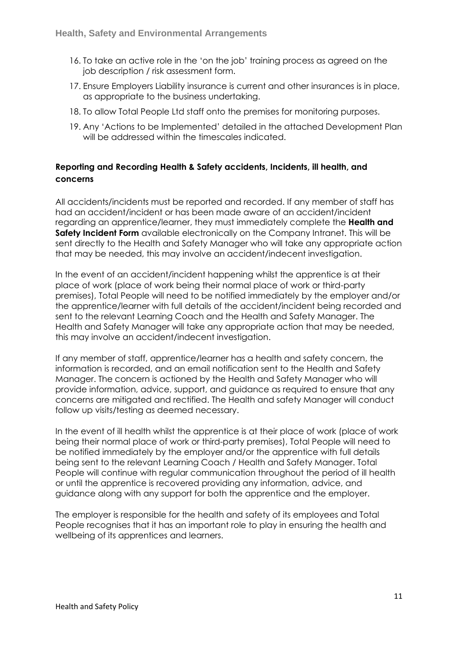- 16. To take an active role in the 'on the job' training process as agreed on the job description / risk assessment form.
- 17. Ensure Employers Liability insurance is current and other insurances is in place, as appropriate to the business undertaking.
- 18. To allow Total People Ltd staff onto the premises for monitoring purposes.
- 19. Any 'Actions to be Implemented' detailed in the attached Development Plan will be addressed within the timescales indicated.

#### **Reporting and Recording Health & Safety accidents, Incidents, ill health, and concerns**

All accidents/incidents must be reported and recorded. If any member of staff has had an accident/incident or has been made aware of an accident/incident regarding an apprentice/learner, they must immediately complete the **Health and Safety Incident Form** available electronically on the Company Intranet. This will be sent directly to the Health and Safety Manager who will take any appropriate action that may be needed, this may involve an accident/indecent investigation.

In the event of an accident/incident happening whilst the apprentice is at their place of work (place of work being their normal place of work or third-party premises), Total People will need to be notified immediately by the employer and/or the apprentice/learner with full details of the accident/incident being recorded and sent to the relevant Learning Coach and the Health and Safety Manager. The Health and Safety Manager will take any appropriate action that may be needed, this may involve an accident/indecent investigation.

If any member of staff, apprentice/learner has a health and safety concern, the information is recorded, and an email notification sent to the Health and Safety Manager. The concern is actioned by the Health and Safety Manager who will provide information, advice, support, and guidance as required to ensure that any concerns are mitigated and rectified. The Health and safety Manager will conduct follow up visits/testing as deemed necessary.

In the event of ill health whilst the apprentice is at their place of work (place of work being their normal place of work or third-party premises), Total People will need to be notified immediately by the employer and/or the apprentice with full details being sent to the relevant Learning Coach / Health and Safety Manager. Total People will continue with regular communication throughout the period of ill health or until the apprentice is recovered providing any information, advice, and guidance along with any support for both the apprentice and the employer.

The employer is responsible for the health and safety of its employees and Total People recognises that it has an important role to play in ensuring the health and wellbeing of its apprentices and learners.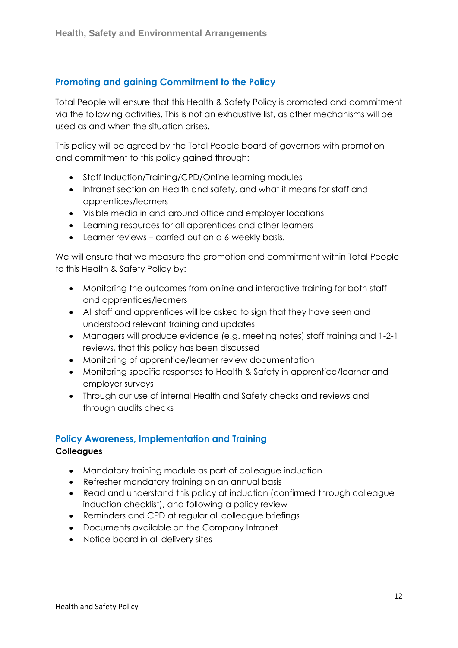#### **Promoting and gaining Commitment to the Policy**

Total People will ensure that this Health & Safety Policy is promoted and commitment via the following activities. This is not an exhaustive list, as other mechanisms will be used as and when the situation arises.

This policy will be agreed by the Total People board of governors with promotion and commitment to this policy gained through:

- Staff Induction/Training/CPD/Online learning modules
- Intranet section on Health and safety, and what it means for staff and apprentices/learners
- Visible media in and around office and employer locations
- Learning resources for all apprentices and other learners
- Learner reviews carried out on a 6-weekly basis.

We will ensure that we measure the promotion and commitment within Total People to this Health & Safety Policy by:

- Monitoring the outcomes from online and interactive training for both staff and apprentices/learners
- All staff and apprentices will be asked to sign that they have seen and understood relevant training and updates
- Managers will produce evidence (e.g. meeting notes) staff training and 1-2-1 reviews, that this policy has been discussed
- Monitoring of apprentice/learner review documentation
- Monitoring specific responses to Health & Safety in apprentice/learner and employer surveys
- Through our use of internal Health and Safety checks and reviews and through audits checks

#### **Policy Awareness, Implementation and Training**

#### **Colleagues**

- Mandatory training module as part of colleague induction
- Refresher mandatory training on an annual basis
- Read and understand this policy at induction (confirmed through colleague induction checklist), and following a policy review
- Reminders and CPD at regular all colleague briefings
- Documents available on the Company Intranet
- Notice board in all delivery sites